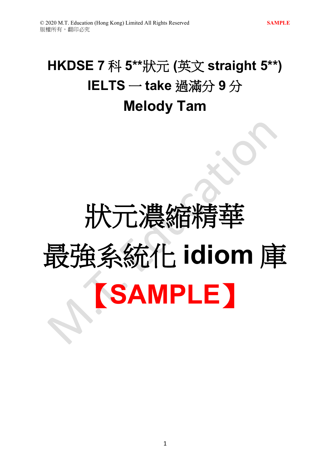## **HKDSE 7** 科 **5\*\***狀元 **(**英文 **straight 5\*\*) IELTS** 一 **take** 過滿分 **9** 分 **Melody Tam**

# 狀元濃縮精華 最強系統化 **idiom** 庫 【**SAMPLE**】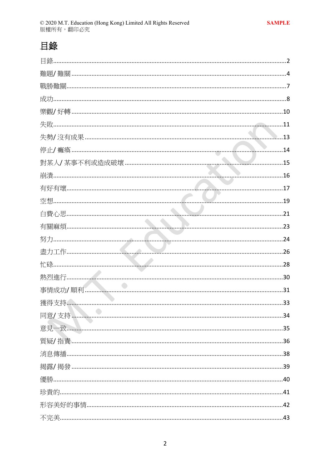### 目錄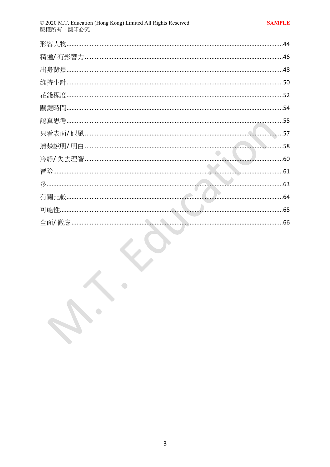$\cdot$ 

 $\bullet$ 

 $\bullet$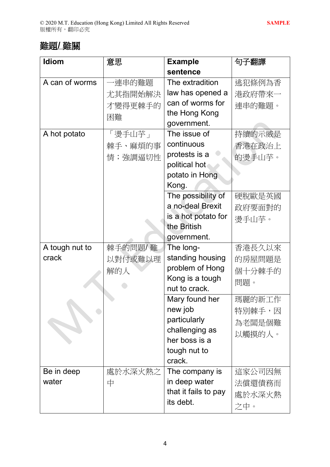#### 難題/ 難關

| Idiom               | 意思      | <b>Example</b>       | 句子翻譯   |
|---------------------|---------|----------------------|--------|
|                     |         | sentence             |        |
| A can of worms      | −連串的難題  | The extradition      | 逃犯條例為香 |
|                     | 尤其指開始解決 | law has opened a     | 港政府帶來一 |
|                     | 才變得更棘手的 | can of worms for     | 連串的難題。 |
|                     | 困難      | the Hong Kong        |        |
|                     |         | government.          |        |
| A hot potato        | 「燙手山芋」  | The issue of         | 持續的示威是 |
|                     | 棘手、麻煩的事 | continuous           | 香港在政治上 |
|                     | 情;強調逼切性 | protests is a        | 的燙手山芋。 |
|                     |         | political hot        |        |
|                     |         | potato in Hong       |        |
|                     |         | Kong.                |        |
|                     |         | The possibility of   | 硬脫歐是英國 |
|                     |         | a no-deal Brexit     | 政府要面對的 |
|                     |         | is a hot potato for  | 燙手山芋。  |
|                     |         | the British          |        |
|                     |         | government.          |        |
| A tough nut to      | 棘手的問題/難 | The long-            | 香港長久以來 |
| crack               | 以對付或難以理 | standing housing     | 的房屋問題是 |
|                     | 解的人     | problem of Hong      | 個十分棘手的 |
|                     |         | Kong is a tough      | 問題。    |
|                     |         | nut to crack.        |        |
|                     |         | Mary found her       | 瑪麗的新工作 |
|                     |         | new job              | 特別棘手,因 |
|                     |         | particularly         | 為老闆是個難 |
|                     |         | challenging as       | 以觸摸的人。 |
|                     |         | her boss is a        |        |
|                     |         | tough nut to         |        |
|                     |         | crack.               |        |
| Be in deep<br>water | 處於水深火熱之 | The company is       | 這家公司因無 |
|                     | 中       | in deep water        | 法償還債務而 |
|                     |         | that it fails to pay | 處於水深火熱 |
|                     |         | its debt.            | 之中。    |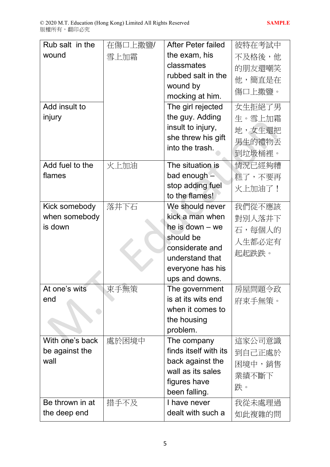| Rub salt in the | 在傷口上撒鹽/ | After Peter failed                     | 彼特在考試中 |
|-----------------|---------|----------------------------------------|--------|
| wound           | 雪上加霜    | the exam, his                          | 不及格後,他 |
|                 |         | classmates                             | 的朋友還嘲笑 |
|                 |         | rubbed salt in the                     | 他,簡直是在 |
|                 |         | wound by                               | 傷口上撒鹽。 |
|                 |         | mocking at him.                        |        |
| Add insult to   |         | The girl rejected                      | 女生拒絕了男 |
| injury          |         | the guy. Adding                        | 生。雪上加霜 |
|                 |         | insult to injury,                      | 地,女生還把 |
|                 |         | she threw his gift                     | 男生的禮物丟 |
|                 |         | into the trash.                        | 到垃圾桶裡。 |
| Add fuel to the | 火上加油    | The situation is                       | 情況已經夠糟 |
| flames          |         | bad enough -                           | 糕了,不要再 |
|                 |         | stop adding fuel                       | 火上加油了! |
|                 |         | to the flames!                         |        |
| Kick somebody   | 落井下石    | We should never                        | 我們從不應該 |
| when somebody   |         | kick a man when                        | 對別人落井下 |
| is down         |         | he is down $-$ we                      | 石,每個人的 |
|                 |         | should be                              | 人生都必定有 |
|                 |         | considerate and                        | 起起跌跌。  |
|                 |         | understand that                        |        |
|                 |         | everyone has his                       |        |
|                 |         | ups and downs.                         |        |
| At one's wits   | 束手無策    | The government                         | 房屋問題令政 |
| end             |         | is at its wits end<br>when it comes to | 府束手無策。 |
|                 |         | the housing                            |        |
|                 |         | problem.                               |        |
| With one's back | 處於困境中   | The company                            | 這家公司意識 |
| be against the  |         | finds itself with its                  | 到自己正處於 |
| wall            |         | back against the                       | 困境中,銷售 |
|                 |         | wall as its sales                      | 業績不斷下  |
|                 |         | figures have                           | 跌。     |
|                 |         | been falling.                          |        |
| Be thrown in at | 措手不及    | I have never                           | 我從未處理過 |
| the deep end    |         | dealt with such a                      | 如此複雜的問 |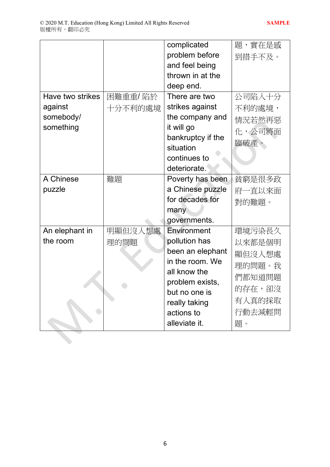|                  |         | complicated       | 題,實在是感 |
|------------------|---------|-------------------|--------|
|                  |         | problem before    | 到措手不及。 |
|                  |         | and feel being    |        |
|                  |         | thrown in at the  |        |
|                  |         | deep end.         |        |
| Have two strikes | 困難重重/陷於 | There are two     | 公司陷入十分 |
| against          | 十分不利的處境 | strikes against   | 不利的處境, |
| somebody/        |         | the company and   | 情況若然再惡 |
| something        |         | it will go        | 化,公司將面 |
|                  |         | bankruptcy if the | 臨破產。   |
|                  |         | situation         |        |
|                  |         | continues to      |        |
|                  |         | deteriorate.      |        |
| A Chinese        | 難題      | Poverty has been  | 貧窮是很多政 |
| puzzle           |         | a Chinese puzzle  | 府一直以來面 |
|                  |         | for decades for   | 對的難題。  |
|                  |         | many              |        |
|                  |         | governments.      |        |
| An elephant in   | 明顯但沒人想處 | Environment       | 環境污染長久 |
| the room         | 理的問題    | pollution has     | 以來都是個明 |
|                  |         | been an elephant  | 顯但沒人想處 |
|                  |         | in the room. We   | 理的問題。我 |
|                  |         | all know the      | 們都知道問題 |
|                  |         | problem exists,   | 的存在,卻沒 |
|                  |         | but no one is     |        |
|                  |         | really taking     | 有人真的採取 |
|                  |         | actions to        | 行動去減輕問 |
|                  |         | alleviate it.     | 題。     |
|                  |         |                   |        |
|                  |         |                   |        |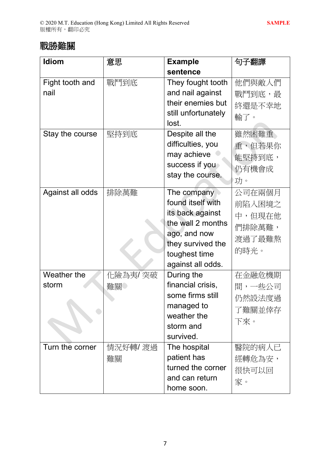#### 戰勝暋關

| <b>Idiom</b>     | 意思       | <b>Example</b>      | 句子翻譯   |
|------------------|----------|---------------------|--------|
|                  |          | sentence            |        |
| Fight tooth and  | 戰鬥到底     | They fought tooth   | 他們與敵人們 |
| nail             |          | and nail against    | 戰鬥到底,最 |
|                  |          | their enemies but   | 終還是不幸地 |
|                  |          | still unfortunately | 輸了。    |
|                  |          | lost.               |        |
| Stay the course  | 堅持到底     | Despite all the     | 雖然困難重  |
|                  |          | difficulties, you   | 重,但若果你 |
|                  |          | may achieve         | 能堅持到底, |
|                  |          | success if you      | 仍有機會成  |
|                  |          | stay the course.    | 功。     |
| Against all odds | 排除萬難     | The company         | 公司在兩個月 |
|                  |          | found itself with   |        |
|                  |          | its back against    | 前陷入困境之 |
|                  |          | the wall 2 months   | 中,但現在他 |
|                  |          | ago, and now        | 們排除萬難, |
|                  |          | they survived the   | 渡過了最難熬 |
|                  |          | toughest time       | 的時光。   |
|                  |          | against all odds.   |        |
| Weather the      | 化險為夷/突破  | During the          | 在金融危機期 |
| storm            | 難關       | financial crisis,   | 間,一些公司 |
|                  |          | some firms still    | 仍然設法度過 |
|                  |          | managed to          | 了難關並倖存 |
|                  |          | weather the         | 下來。    |
|                  |          | storm and           |        |
|                  |          | survived.           |        |
| Turn the corner  | 情況好轉/ 渡過 | The hospital        | 醫院的病人已 |
|                  | 難關       | patient has         | 經轉危為安, |
|                  |          | turned the corner   | 很快可以回  |
|                  |          | and can return      | 家。     |
|                  |          | home soon.          |        |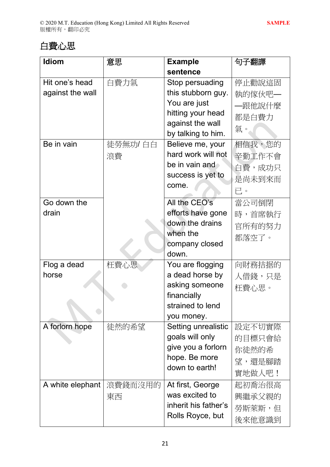#### 白費心思

| <b>Idiom</b>     | 意思       | <b>Example</b>       | 句子翻譯   |
|------------------|----------|----------------------|--------|
|                  |          | sentence             |        |
| Hit one's head   | 白費力氣     | Stop persuading      | 停止勸說這固 |
| against the wall |          | this stubborn guy.   | 執的傢伙吧— |
|                  |          | You are just         | –跟他說什麼 |
|                  |          | hitting your head    | 都是白費力  |
|                  |          | against the wall     | 氣。     |
|                  |          | by talking to him.   |        |
| Be in vain       | 徒勞無功/ 白白 | Believe me, your     | 相信我,您的 |
|                  | 浪費       | hard work will not   | 辛勤工作不會 |
|                  |          | be in vain and       | 白費,成功只 |
|                  |          | success is yet to    | 是尚未到來而 |
|                  |          | come.                | 已。     |
| Go down the      |          | All the CEO's        | 當公司倒閉  |
| drain            |          | efforts have gone    | 時,首席執行 |
|                  |          | down the drains      | 官所有的努力 |
|                  |          | when the             | 都落空了。  |
|                  |          | company closed       |        |
|                  |          | down.                |        |
| Flog a dead      | 枉費心思     | You are flogging     | 向財務拮据的 |
| horse            |          | a dead horse by      | 人借錢,只是 |
|                  |          | asking someone       | 枉費心思。  |
|                  |          | financially          |        |
|                  |          | strained to lend     |        |
|                  |          | you money.           |        |
| A forlorn hope   | 徒然的希望    | Setting unrealistic  | 設定不切實際 |
|                  |          | goals will only      | 的目標只會給 |
|                  |          | give you a forlorn   | 你徒然的希  |
|                  |          | hope. Be more        | 望,還是腳踏 |
|                  |          | down to earth!       | 實地做人吧! |
| A white elephant | 浪費錢而沒用的  | At first, George     | 起初喬治很高 |
|                  | 東西       | was excited to       | 興繼承父親的 |
|                  |          | inherit his father's | 勞斯萊斯,但 |
|                  |          | Rolls Royce, but     | 後來他意識到 |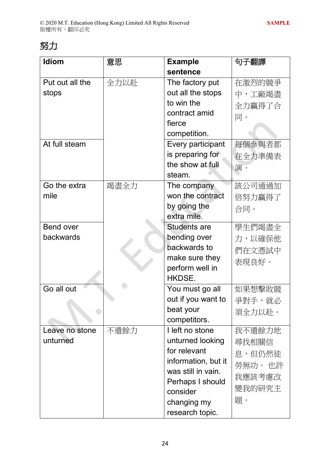#### 努力

| Idiom            | 意思   | <b>Example</b>                            | 句子翻譯    |
|------------------|------|-------------------------------------------|---------|
|                  |      | sentence                                  |         |
| Put out all the  | 全力以赴 | The factory put                           | 在激烈的競爭  |
| stops            |      | out all the stops                         | 中,工廠竭盡  |
|                  |      | to win the                                | 全力贏得了合  |
|                  |      | contract amid                             | 同。      |
|                  |      | fierce                                    |         |
|                  |      | competition.                              |         |
| At full steam    |      | Every participant                         | 每個參與者都  |
|                  |      | is preparing for                          | 在全力準備表  |
|                  |      | the show at full                          | 演。      |
|                  |      | steam.                                    |         |
| Go the extra     | 竭盡全力 | The company                               | 該公司通過加  |
| mile             |      | won the contract                          | 倍努力贏得了  |
|                  |      | by going the                              | 合同。     |
|                  |      | extra mile.                               |         |
| <b>Bend over</b> |      | <b>Students are</b>                       | 學生們竭盡全  |
| backwards        |      | bending over                              | 力,以確保他  |
|                  |      | backwards to                              | 們在文憑試中  |
|                  |      | make sure they                            | 表現良好。   |
|                  |      | perform well in                           |         |
|                  |      | HKDSE.                                    |         |
| Go all out       |      | You must go all                           | 如果想擊敗競  |
|                  |      | out if you want to                        | 爭對手,就必  |
|                  |      | beat your                                 | 須全力以赴。  |
|                  |      | competitors.                              |         |
| Leave no stone   | 不遺餘力 | I left no stone                           | 我不遺餘力地  |
| unturned         |      | unturned looking                          | 尋找相關信   |
|                  |      | for relevant                              | 息,但仍然徒  |
|                  |      | information, but it<br>was still in vain. | 勞無功。 也許 |
|                  |      |                                           | 我應該考慮改  |
|                  |      | Perhaps I should<br>consider              | 變我的研究主  |
|                  |      |                                           | 題。      |
|                  |      | changing my                               |         |
|                  |      | research topic.                           |         |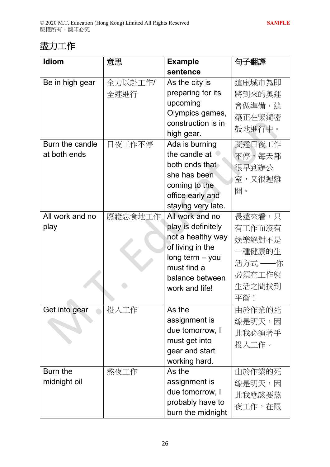#### 盡力工作

| <b>Idiom</b>    | 意思      | <b>Example</b>                    | 句子翻譯    |
|-----------------|---------|-----------------------------------|---------|
|                 |         | sentence                          |         |
| Be in high gear | 全力以赴工作/ | As the city is                    | 這座城市為即  |
|                 | 全速進行    | preparing for its                 | 將到來的奧運  |
|                 |         | upcoming                          | 會做準備,建  |
|                 |         | Olympics games,                   | 築正在緊鑼密  |
|                 |         | construction is in                | 鼓地進行中。  |
|                 |         | high gear.                        |         |
| Burn the candle | 日夜工作不停  | Ada is burning                    | 艾達日夜工作  |
| at both ends    |         | the candle at                     | 不停,每天都  |
|                 |         | both ends that                    | 很早到辦公   |
|                 |         | she has been                      | 室,又很遲離  |
|                 |         | coming to the                     | 開。      |
|                 |         | office early and                  |         |
|                 |         | staying very late.                |         |
| All work and no | 廢寢忘食地工作 | All work and no                   | 長遠來看,只  |
| play            |         | play is definitely                | 有工作而沒有  |
|                 |         | not a healthy way                 | 娛樂絕對不是  |
|                 |         | of living in the                  | 一種健康的生  |
|                 |         | $long term - you$                 | 活方式 ——你 |
|                 |         | must find a                       | 必須在工作與  |
|                 |         | balance between<br>work and life! | 生活之間找到  |
|                 |         |                                   | 平衡!     |
| Get into gear   | 投入工作    | As the                            | 由於作業的死  |
|                 |         | assignment is                     | 線是明天,因  |
|                 |         | due tomorrow, I                   | 此我必須著手  |
|                 |         | must get into                     | 投入工作。   |
|                 |         | gear and start                    |         |
|                 |         | working hard.                     |         |
| Burn the        | 熬夜工作    | As the                            | 由於作業的死  |
| midnight oil    |         | assignment is                     | 線是明天,因  |
|                 |         | due tomorrow, I                   | 此我應該要熬  |
|                 |         | probably have to                  | 夜工作,在限  |
|                 |         | burn the midnight                 |         |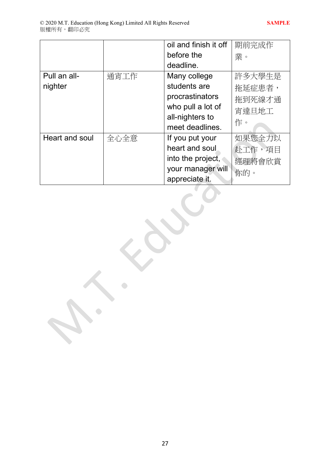$\bullet$ 

 $\bullet$ 

|                |      | oil and finish it off | 期前完成作  |
|----------------|------|-----------------------|--------|
|                |      | before the            | 業。     |
|                |      | deadline.             |        |
| Pull an all-   | 通宵工作 | Many college          | 許多大學生是 |
| nighter        |      | students are          | 拖延症患者, |
|                |      | procrastinators       | 拖到死線才通 |
|                |      | who pull a lot of     | 宵達旦地工  |
|                |      | all-nighters to       | 作。     |
|                |      | meet deadlines.       |        |
| Heart and soul | 全心全意 | If you put your       | 如果您全力以 |
|                |      | heart and soul        | 赴工作,項目 |
|                |      | into the project,     | 經理將會欣賞 |
|                |      | your manager will     | 你的。    |
|                |      | appreciate it.        |        |